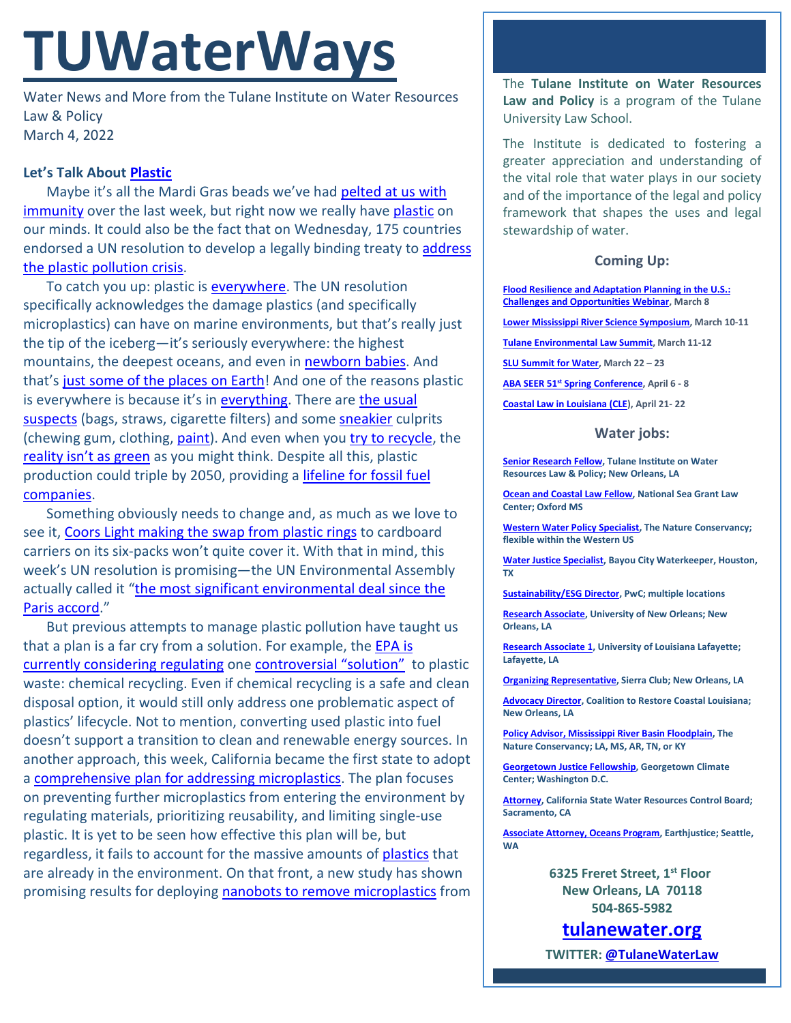# **TUWaterWays**

Water News and More from the Tulane Institute on Water Resources Law & Policy March 4, 2022

# **Let's Talk Abou[t Plastic](https://www.youtube.com/watch?v=tP2XtYbIgD0)**

Maybe it's all the Mardi Gras beads we've had pelted at us with [immunity](https://www.louisianainjurylawyersblog.com/around-louisiana/new-orleans-mardi-gras-beads-injuries/) over the last week, but right now we really have [plastic](https://www.youtube.com/watch?v=W2RpgEm9D4E) on our minds. It could also be the fact that on Wednesday, 175 countries endorsed a UN resolution to develop a legally binding treaty to address [the plastic pollution crisis.](https://thehill.com/policy/equilibrium-sustainability/596511-countries-commit-to-develop-legally-binding-plastics?utm_source=&utm_medium=email&utm_campaign=47609)

To catch you up: plastic is [everywhere.](https://www.youtube.com/watch?v=fIoxpiS01gE) The UN resolution specifically acknowledges the damage plastics (and specifically microplastics) can have on marine environments, but that's really just the tip of the iceberg—it's seriously everywhere: the highest mountains, the deepest oceans, and even in [newborn babies.](https://screenshot-media.com/the-future/science/microplastics-in-babies/) And that's [just some of the places on Earth!](https://www.theatlantic.com/technology/archive/2012/12/the-trash-weve-left-on-the-moon/266465/) And one of the reasons plastic is everywhere is because it's i[n everything.](https://www.youtube.com/watch?v=A_iAE2JIyEE) There are the usual [suspects](https://www.youtube.com/watch?v=oiXdPolca5w) (bags, straws, cigarette filters) and som[e sneakier](https://www.youtube.com/watch?v=h99TR-UNr6A) culprits (chewing gum, clothing, [paint\)](https://www.forbes.com/sites/jamiehailstone/2022/02/09/paint-is-the-largest-source-of-microplastics-in-the-ocean-study-finds/?sh=2ff9e74a1dd8). And even when you [try to recycle,](https://www.youtube.com/watch?v=msnZr5jzqzQ) the [reality isn't as green](https://www.npr.org/2020/09/11/897692090/how-big-oil-misled-the-public-into-believing-plastic-would-be-recycled) as you might think. Despite all this, plastic production could triple by 2050, providing a *lifeline for fossil fuel* [companies.](https://e360.yale.edu/features/the-plastics-pipeline-a-surge-of-new-production-is-on-the-way)

Something obviously needs to change and, as much as we love to see it, [Coors Light making the swap from plastic rings](https://www.cnn.com/2022/03/01/business/plastic-rings-molson-coors/index.html) to cardboard carriers on its six-packs won't quite cover it. With that in mind, this week's UN resolution is promising—the UN Environmental Assembly actually called it "the most significant environmental deal since the [Paris accord.](https://www.reuters.com/business/environment/biggest-green-deal-since-paris-un-agrees-plastic-treaty-roadmap-2022-03-02/)"

But previous attempts to manage plastic pollution have taught us that a plan is a far cry from a solution. For example, the **EPA is** [currently considering regulating](https://subscriber.politicopro.com/article/eenews/2022/02/28/failure-or-solution-epa-weighs-plastics-recycling-plan-00010244) one [controversial "solution"](https://www.nrdc.org/experts/daniel-rosenberg/epa-say-no-burning-plastic-aka-chemical-recycling#:%7E:text=%E2%80%9CChemical%20recycling%E2%80%9D%20is%20a%20misnomer,the%20production%20of%20new%20plastic.) to plastic waste: chemical recycling. Even if chemical recycling is a safe and clean disposal option, it would still only address one problematic aspect of plastics' lifecycle. Not to mention, converting used plastic into fuel doesn't support a transition to clean and renewable energy sources. In another approach, this week, California became the first state to adopt a [comprehensive plan for addressing microplastics.](https://www.theguardian.com/us-news/2022/mar/03/california-new-measures-curb-microplastic-pollution) The plan focuses on preventing further microplastics from entering the environment by regulating materials, prioritizing reusability, and limiting single-use plastic. It is yet to be seen how effective this plan will be, but regardless, it fails to account for the massive amounts of [plastics](https://www.youtube.com/watch?v=m1Hvp1Z10TI) that are already in the environment. On that front, a new study has shown promising results for deploying [nanobots to remove microplastics](https://www.techtimes.com/articles/272472/20220302/nanorobots-200-nanometers-wide-remove-microscopic-pollutants-water.htm) from The **Tulane Institute on Water Resources Law and Policy** is a program of the Tulane University Law School.

The Institute is dedicated to fostering a greater appreciation and understanding of the vital role that water plays in our society and of the importance of the legal and policy framework that shapes the uses and legal stewardship of water.

# **Coming Up:**

**[Flood Resilience and Adaptation Planning in the](https://web.cvent.com/event/d28c7722-5a29-498c-ad87-ce204e14e1bd/summary?utm_campaign=INVT%20-%20FPC%20-%20Flood%20Resilience%20Webinar%20Reminder%20-%20022202&subscriberkey=0030P000025bbIAQAY&utm_medium=email&utm_source=Pew) U.S.: [Challenges and Opportunities Webinar,](https://web.cvent.com/event/d28c7722-5a29-498c-ad87-ce204e14e1bd/summary?utm_campaign=INVT%20-%20FPC%20-%20Flood%20Resilience%20Webinar%20Reminder%20-%20022202&subscriberkey=0030P000025bbIAQAY&utm_medium=email&utm_source=Pew) March 8**

**[Lower Mississippi River Science Symposium,](https://lmrss.tulane.edu/home/) March 10-11**

**[Tulane Environmental Law Summit,](https://tulaneenvironmentallawsummit.com/) March 11-12**

**[SLU Summit for Water,](https://alumni.slu.edu/s/1264/17/interior.aspx?sid=1264&gid=1&pgid=7449&cid=11949&ecid=11949&authkey=1GIUG66MBlSRTyxOQXMX1ItgKKu8ZhdwPGDJbRDPxYcaqd4VyWh5xQ%3d%3d) March 22 – 23**

**ABA SEER 51st [Spring Conference,](https://web.cvent.com/event/ea6dee84-227d-4bf5-8ee7-4b12deb77aa5/summary) April 6 - 8**

**[Coastal Law in Louisiana \(CLE\)](https://www.theseminargroup.net/seminardetl.aspx?id=22.shrNO), April 21- 22**

## **Water jobs:**

**[Senior Research Fellow,](https://jobs.tulane.edu/position/IRC22821) Tulane Institute on Water Resources Law & Policy; New Orleans, LA**

**[Ocean and Coastal Law Fellow,](https://careers.olemiss.edu/job/University-Law-Fellow%2C-Temporary-MS-38677/834883200/) National Sea Grant Law Center; Oxford MS**

**[Western Water Policy Specialist,](https://www.joshswaterjobs.com/jobs/125471/) The Nature Conservancy; flexible within the Western US**

**[Water Justice Specialist,](https://bayoucitywaterkeeper.org/wp-content/uploads/2022/01/Water-Justice-Specialist.pdf) Bayou City Waterkeeper, Houston, TX**

**[Sustainability/ESG Director,](https://jobs.us.pwc.com/job/-/-/932/8531402784?utm_source=linkedin.com&utm_campaign=core_media&utm_medium=social_media&utm_content=job_posting&ss=paid&dclid=CIHN-by5yvMCFUvrwAodK4kFqw) PwC; multiple locations**

**[Research Associate,](https://ulsuno.wd1.myworkdayjobs.com/en-US/UniversityOfNewOrleans/job/New-Orleans-La/Research-Associate-1_R-000365) University of New Orleans; New Orleans, LA**

**[Research Associate 1,](https://louisiana.csod.com/ux/ats/careersite/1/home/requisition/1576?c=louisiana) University of Louisiana Lafayette; Lafayette, LA**

**[Organizing Representative,](https://phf.tbe.taleo.net/phf01/ats/careers/v2/viewRequisition?org=SIERRACLUB&cws=39&rid=1816) Sierra Club; New Orleans, LA**

**[Advocacy Director,](https://www.crcl.org/_files/ugd/d2b7de_8fd72f2538bb45fba446d0afeb90d7a0.pdf) Coalition to Restore Coastal Louisiana; New Orleans, LA**

**[Policy Advisor, Mississippi River Basin Floodplain,](https://careers.nature.org/psc/tnccareers/APPLICANT/APPL/c/HRS_HRAM_FL.HRS_CG_SEARCH_FL.GBL?Page=HRS_APP_JBPST_FL&Action=U&FOCUS=Applicant&SiteId=1&JobOpeningId=51036&PostingSeq=1&PortalActualURL=https%3a%2f%2fcareers.nature.org%2fpsc%2ftnccareers%2fAPPLICANT%2fAPPL%2fc%2fHRS_HRAM_FL.HRS_CG_SEARCH_FL.GBL%3fPage%3dHRS_APP_JBPST_FL%26Action%3dU%26FOCUS%3dApplicant%26SiteId%3d1%26JobOpeningId%3d51036%26PostingSeq%3d1&PortalRegistryName=APPLICANT&PortalServletURI=https%3a%2f%2fcareers.nature.org%2fpsp%2ftnccareers%2f&PortalURI=https%3a%2f%2fcareers.nature.org%2fpsc%2ftnccareers%2f&PortalHostNode=APPL&NoCrumbs=yes&PortalKeyStruct=yes) The Nature Conservancy; LA, MS, AR, TN, or KY**

**[Georgetown Justice Fellowship,](https://www.georgetownclimate.org/articles/fellowship-opportunity-gcc-seeks-graduating-law-students-for-justice-fellow-program.html) Georgetown Climate Center; Washington D.C.**

**[Attorney,](https://www.calcareers.ca.gov/CalHrPublic/Jobs/JobPosting.aspx?JobControlId=253429) California State Water Resources Control Board; Sacramento, CA**

**[Associate Attorney, Oceans Program,](https://jobs.americanbar.org/job/associate-attorney-oceans-program-open-to-other-locations/61796058/?utm_source=JobsEmail&utm_medium=Email&utm_content=JobPost&utm_campaign=Feb-28) Earthjustice; Seattle, WA**

> **6325 Freret Street, 1st Floor New Orleans, LA 70118 504-865-5982**

**tulanewater.org TWITTER: [@TulaneWaterLaw](http://www.twitter.com/TulaneWaterLaw)**